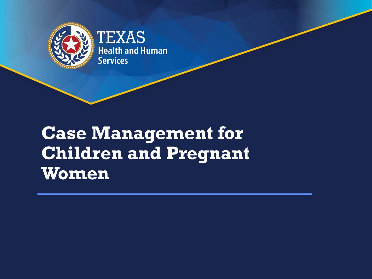

### **Case Management for Children and Pregnant Women**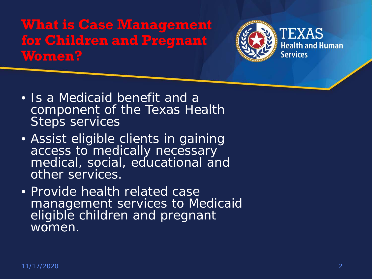### **What is Case Management for Children and Pregnant Women?**



- Is a Medicaid benefit and a component of the Texas Health Steps services
- Assist eligible clients in gaining access to medically necessary medical, social, educational and other services.
- Provide health related case management services to Medicaid eligible children and pregnant women.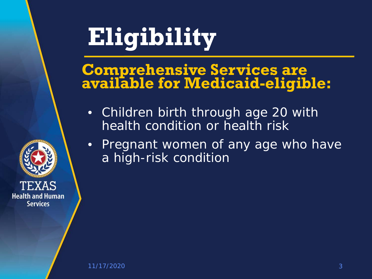# **Eligibility**

### **Comprehensive Services are available for Medicaid-eligible:**

- Children birth through age 20 with health condition or health risk
- Pregnant women of any age who have a high-risk condition

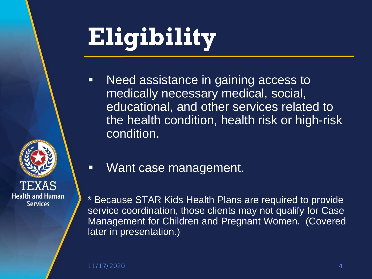# **Eligibility**

**Need assistance in gaining access to** medically necessary medical, social, educational, and other services related to the health condition, health risk or high-risk condition.



- **Want case management.**
- \* Because STAR Kids Health Plans are required to provide service coordination, those clients may not qualify for Case Management for Children and Pregnant Women. (Covered later in presentation.)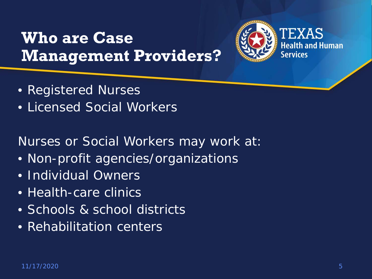### **Who are Case Management Providers?**



- Registered Nurses
- Licensed Social Workers

Nurses or Social Workers may work at:

- Non-profit agencies/organizations
- Individual Owners
- Health-care clinics
- Schools & school districts
- Rehabilitation centers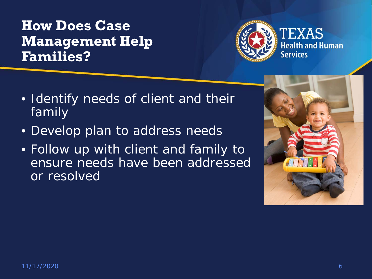### **How Does Case Management Help Families?**



- Identify needs of client and their family
- Develop plan to address needs
- Follow up with client and family to ensure needs have been addressed or resolved

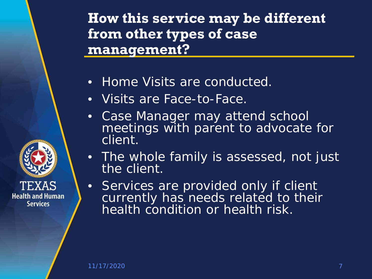**How this service may be different from other types of case management?**

- Home Visits are conducted.
- Visits are Face-to-Face.
- Case Manager may attend school meetings with parent to advocate for client.
- The whole family is assessed, not just the client.
- Services are provided only if client currently has needs related to their health condition or health risk.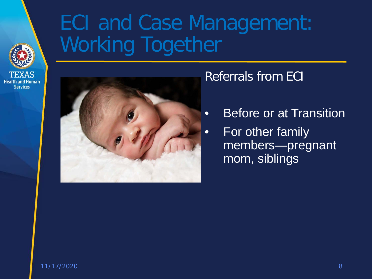

## ECI and Case Management: Working Together



### Referrals from ECI

- Before or at Transition
- For other family members—pregnant mom, siblings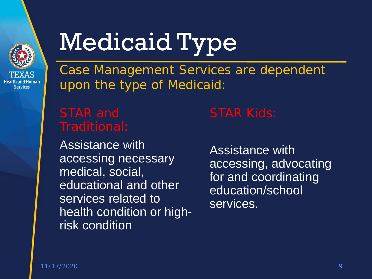

# Medicaid Type

Case Management Services are dependent upon the type of Medicaid:

Assistance with accessing necessary medical, social, educational and other services related to health condition or highrisk condition

Assistance with accessing, advocating for and coordinating education/school services.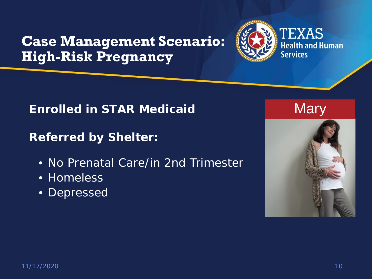### **Case Management Scenario: High-Risk Pregnancy**



#### **Enrolled in STAR Medicaid**

**Referred by Shelter:**

- No Prenatal Care/in 2nd Trimester
- Homeless
- Depressed

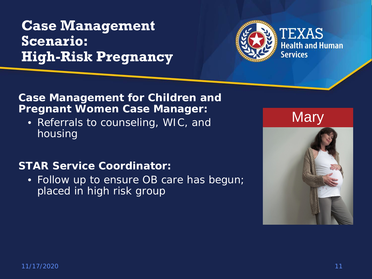### **Case Management Scenario: High-Risk Pregnancy**



#### **Case Management for Children and Pregnant Women Case Manager:**

• Referrals to counseling, WIC, and housing

#### **STAR Service Coordinator:**

• Follow up to ensure OB care has begun; placed in high risk group

**Mary** 

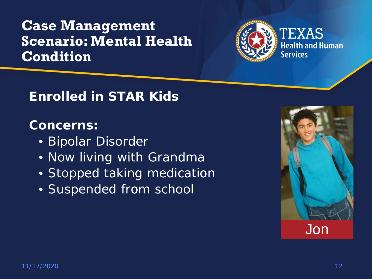### **Case Management Scenario: Mental Health Condition**



### **Enrolled in STAR Kids**

### **Concerns:**

- Bipolar Disorder
- Now living with Grandma
- Stopped taking medication
- Suspended from school

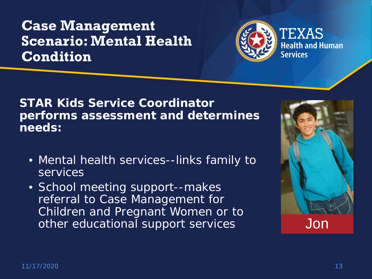### **Case Management Scenario: Mental Health Condition**



**STAR Kids Service Coordinator performs assessment and determines needs:** 

- Mental health services--links family to **services**
- School meeting support--makes referral to Case Management for Children and Pregnant Women or to other educational support services

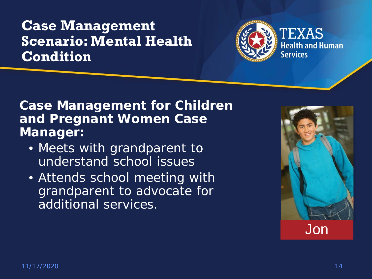### **Case Management Scenario: Mental Health Condition**



### **Case Management for Children and Pregnant Women Case Manager:**

- Meets with grandparent to understand school issues
- Attends school meeting with grandparent to advocate for additional services.

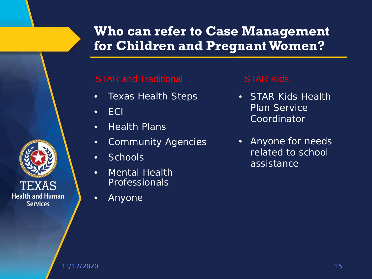### **Who can refer to Case Management for Children and Pregnant Women?**

#### STAR and Traditional STAR Kids

- Texas Health Steps
- ECI
- Health Plans
- Community Agencies
- Schools
- Mental Health Professionals
- Anyone

- STAR Kids Health Plan Service **Coordinator**
- Anyone for needs related to school assistance

**Health and Human Services**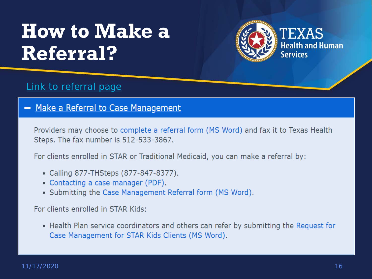## **How to Make a Referral?**



#### [Link to referral page](https://hhs.texas.gov/doing-business-hhs/provider-portals/health-services-providers/case-management-providers-children-pregnant-women)

- Make a Referral to Case Management

Providers may choose to complete a referral form (MS Word) and fax it to Texas Health Steps. The fax number is 512-533-3867.

For clients enrolled in STAR or Traditional Medicaid, you can make a referral by:

- Calling 877-THSteps (877-847-8377).
- Contacting a case manager (PDF).
- Submitting the Case Management Referral form (MS Word).

For clients enrolled in STAR Kids:

• Health Plan service coordinators and others can refer by submitting the Request for Case Management for STAR Kids Clients (MS Word).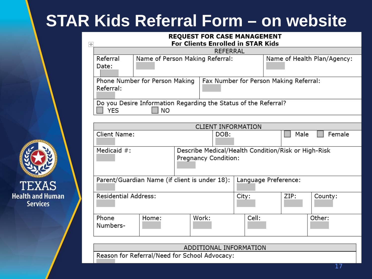### **STAR Kids Referral Form – on website**

#### **REQUEST FOR CASE MANAGEMENT** For Clients Enrolled in STAR Kids

| $\overline{+}$   | <b>For Clients Enrolled in STAR Kids</b>                        |                                 |                                        |                             |  |  |  |  |
|------------------|-----------------------------------------------------------------|---------------------------------|----------------------------------------|-----------------------------|--|--|--|--|
|                  | <b>REFERRAL</b>                                                 |                                 |                                        |                             |  |  |  |  |
|                  | Referral                                                        | Name of Person Making Referral: |                                        | Name of Health Plan/Agency: |  |  |  |  |
|                  | Date:                                                           |                                 |                                        |                             |  |  |  |  |
|                  | Phone Number for Person Making<br>Referral:                     |                                 | Fax Number for Person Making Referral: |                             |  |  |  |  |
|                  |                                                                 |                                 |                                        |                             |  |  |  |  |
|                  |                                                                 |                                 |                                        |                             |  |  |  |  |
|                  | Do you Desire Information Regarding the Status of the Referral? |                                 |                                        |                             |  |  |  |  |
| <b>NO</b><br>YES |                                                                 |                                 |                                        |                             |  |  |  |  |
|                  |                                                                 |                                 |                                        |                             |  |  |  |  |

| <b>CLIENT INFORMATION</b>                                             |       |       |                                                     |      |         |  |  |
|-----------------------------------------------------------------------|-------|-------|-----------------------------------------------------|------|---------|--|--|
| Client Name:                                                          |       |       |                                                     | Male | Female  |  |  |
| Medicaid $#$ :<br>Pregnancy Condition:                                |       |       | Describe Medical/Health Condition/Risk or High-Risk |      |         |  |  |
| Language Preference:<br>Parent/Guardian Name (if client is under 18): |       |       |                                                     |      |         |  |  |
| <b>Residential Address:</b>                                           |       |       | City:                                               | ZIP: | County: |  |  |
| Phone<br>Numbers-                                                     | Home: | Work: | Cell:                                               |      | Other:  |  |  |

ADDITIONAL INFORMATION

Reason for Referral/Need for School Advocacy:

**TEXAS Health and Human Services**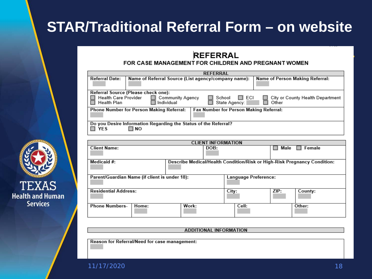### **STAR/Traditional Referral Form – on website**

#### **REFERRAL**

#### FOR CASE MANAGEMENT FOR CHILDREN AND PREGNANT WOMEN

| <b>REFERRAL</b>                                                                                                    |                                                                                        |  |  |  |  |  |
|--------------------------------------------------------------------------------------------------------------------|----------------------------------------------------------------------------------------|--|--|--|--|--|
| <b>Referral Date:</b>                                                                                              | Name of Person Making Referral:<br>Name of Referral Source (List agency/company name): |  |  |  |  |  |
|                                                                                                                    |                                                                                        |  |  |  |  |  |
| Referral Source (Please check one):                                                                                |                                                                                        |  |  |  |  |  |
| <b>Health Care Provider</b><br>$\Box$ ECI<br><b>Community Agency</b><br>School<br>City or County Health Department |                                                                                        |  |  |  |  |  |
| Health Plan                                                                                                        | State Agency:<br>Individual<br>Other                                                   |  |  |  |  |  |
| <b>Phone Number for Person Making Referral:</b><br>Fax Number for Person Making Referral:                          |                                                                                        |  |  |  |  |  |
|                                                                                                                    |                                                                                        |  |  |  |  |  |
| Do you Desire Information Regarding the Status of the Referral?<br>YES<br>∃ NO                                     |                                                                                        |  |  |  |  |  |

| <b>CLIENT INFORMATION</b>                     |       |                                                                          |      |         |  |  |  |
|-----------------------------------------------|-------|--------------------------------------------------------------------------|------|---------|--|--|--|
| <b>Client Name:</b>                           |       | DOB:                                                                     | Male | Female  |  |  |  |
| Medicaid #:                                   |       | Describe Medical/Health Condition/Risk or High-Risk Pregnancy Condition: |      |         |  |  |  |
| Parent/Guardian Name (if client is under 18): |       | <b>Language Preference:</b>                                              |      |         |  |  |  |
| <b>Residential Address:</b>                   |       | City:                                                                    | ZIP: | County: |  |  |  |
| <b>Phone Numbers-</b><br>Home:                | Work: | Cell:                                                                    |      | Other:  |  |  |  |

**ADDITIONAL INFORMATION** 

Reason for Referral/Need for case management:

11/17/2020 18

**TEXAS Health and Human Services**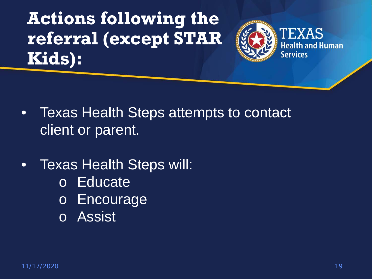**Actions following the referral (except STAR Kids):**



- Texas Health Steps attempts to contact client or parent.
- Texas Health Steps will:
	- o Educate
	- o Encourage
	- o Assist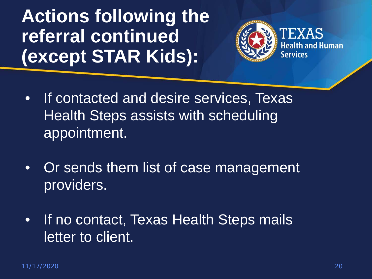**Actions following the referral continued (except STAR Kids):**



- If contacted and desire services, Texas Health Steps assists with scheduling appointment.
- Or sends them list of case management providers.
- If no contact, Texas Health Steps mails letter to client.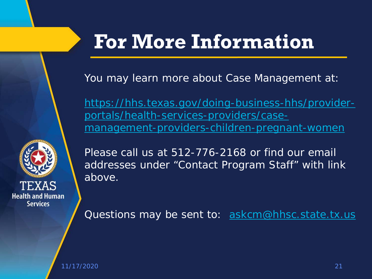

## **For More Information**

You may learn more about Case Management at:

[https://hhs.texas.gov/doing-business-hhs/provider](https://hhs.texas.gov/doing-business-hhs/provider-portals/health-services-providers/case-management-providers-children-pregnant-women)portals/health-services-providers/casemanagement-providers-children-pregnant-women

Please call us at 512-776-2168 or find our email addresses under "Contact Program Staff" with link above.

Questions may be sent to: [askcm@hhsc.state.tx.us](mailto:askcm@hhsc.state.tx.us)